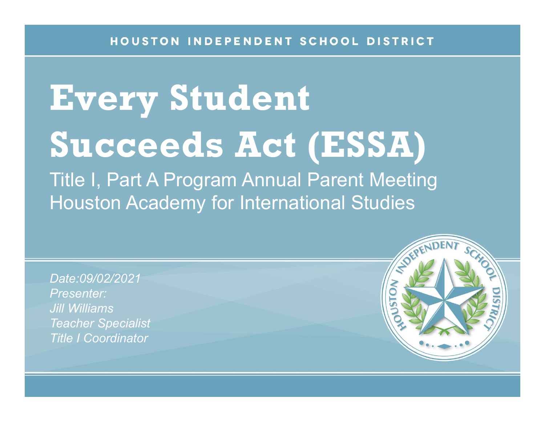## Every Student Succeeds Act (ESSA)

Title I, Part A Program Annual Parent Meeting Houston Academy for International Studies

Date:09/02/2021 Presenter: Jill Williams Teacher Specialist Title I Coordinator

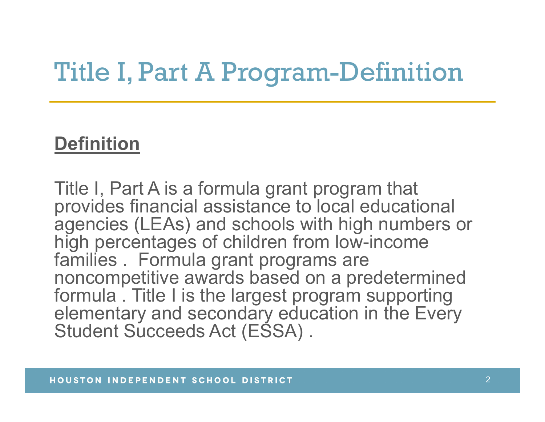#### Title I, Part A Program-Definition

#### **Definition**

Title I, Part A is a formula grant program that provides financial assistance to local educational agencies (LEAs) and schools with high numbers or high percentages of children from low-income<br>families . Formula grant programs are **Definition**<br>Title I, Part A is a formula grant program that<br>provides financial assistance to local educatio<br>agencies (LEAs) and schools with high numbe<br>high percentages of children from low-income<br>families . Formula grant noncompetitive awards based on a predetermined formula . Title I is the largest program supporting elementary and secondary education in the Every Student Succeeds Act (ESSA).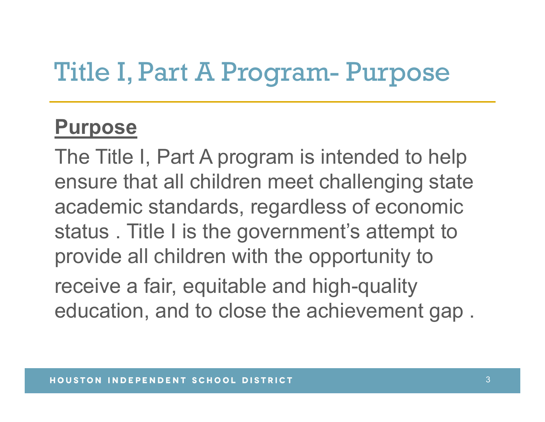# Title I, Part A Program- Purpose

#### Purpose

The Title I, Part A program is intended to help ensure that all children meet challenging state academic standards, regardless of economic status . Title I is the government's attempt to provide all children with the opportunity to

receive a fair, equitable and high-quality education, and to close the achievement gap .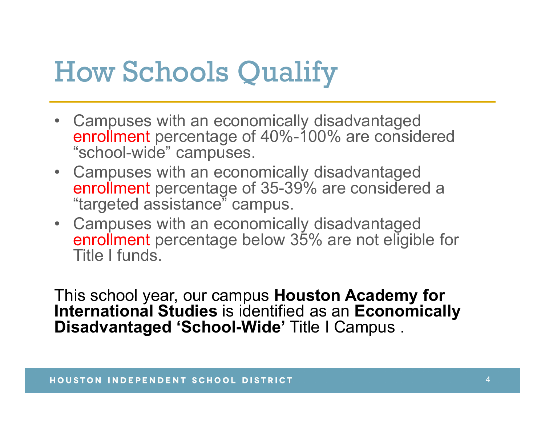#### How Schools Qualify

- How Schools Qualify<br>
 Campuses with an economically disadvantaged<br>
enrollment percentage of 40%-100% are considered<br>
"school-wide" campuses. enrollment percentage of 40%-100% are considered "school-wide" campuses. **How Schools Qualify**<br>• Campuses with an economically disadvantaged<br>enrollment percentage of 40%-100% are considered<br>"school-wide" campuses.<br>• Campuses with an economically disadvantaged<br>enrollment percentage of 35-39% are
- enrollment percentage of 35-39% are considered a "targeted assistance" campus.
- **How Schools Qualify**<br>• Campuses with an economically disadvantaged<br>enrollment percentage of 40%-100% are considered<br>"school-wide" campuses.<br>• Campuses with an economically disadvantaged<br>enrollment percentage of 35-39% are • Campuses with an economically disadvantaged<br>
enrollment percentage below 35% are not eligible for Title I funds.

This school year, our campus Houston Academy for International Studies is identified as an Economically Disadvantaged 'School-Wide' Title I Campus .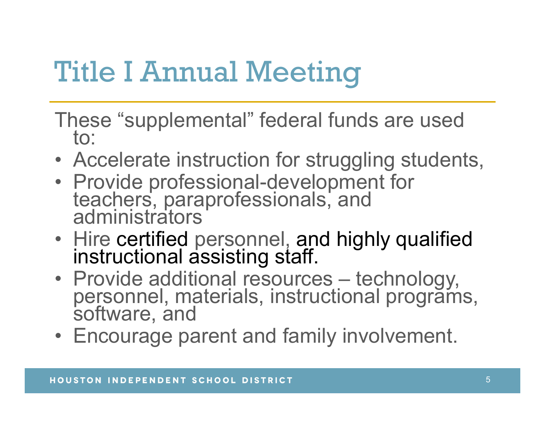### Title I Annual Meeting

- These "supplemental" federal funds are used to: Title I Annual Meeting<br>
These "supplemental" federal funds are used<br>
to:<br>
• Accelerate instruction for struggling students,<br>
• Provide professional-development for<br>
teachers, paraprofessionals, and
- 
- Title I Annual Meeting<br>
These "supplemental" federal funds are used<br>
to:<br>
 Accelerate instruction for struggling students<br>
 Provide professional-development for<br>
teachers, paraprofessionals, and<br>
administrators • Provide professional-development for<br>teachers, paraprofessionals, and<br>administrators Title I Annual Meeting<br>
These "supplemental" federal funds are used<br>
to:<br>
• Accelerate instruction for struggling students,<br>
• Provide professional-development for<br>
teachers, paraprofessionals, and<br>
• Aire certified person
- Hire certified personnel, and highly qualified<br>instructional assisting staff.
- These "supplemental" federal funds are used<br>
to:<br>
 Accelerate instruction for struggling students,<br>
 Provide professional-development for<br>
teachers, paraprofessionals, and<br>
administrators<br>
 Hire certified personnel, and • Provide professional-development for<br>
teachers, paraprofessionals, and<br>
administrators<br>
• Hire certified personnel, and highly qualified<br>
instructional assisting staff.<br>
• Provide additional resources – technology,<br>
pers
-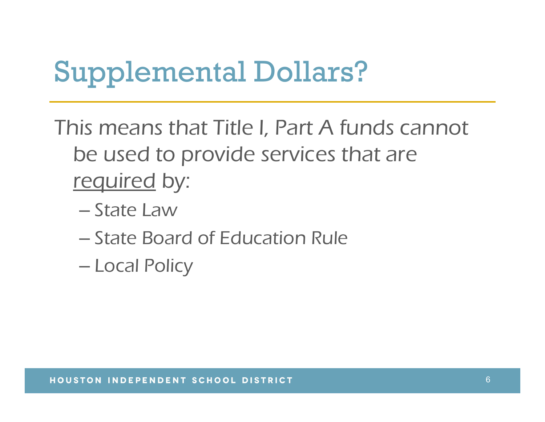#### Supplemental Dollars?

This means that Title I, Part A funds cannot be used to provide services that are **upplemental Dollars?**<br>Notify the U.S. and the used to provide services that<br>the used to provide services that<br>the Law<br>Astate Law

- 
- State Board of Education Rule
- Local Policy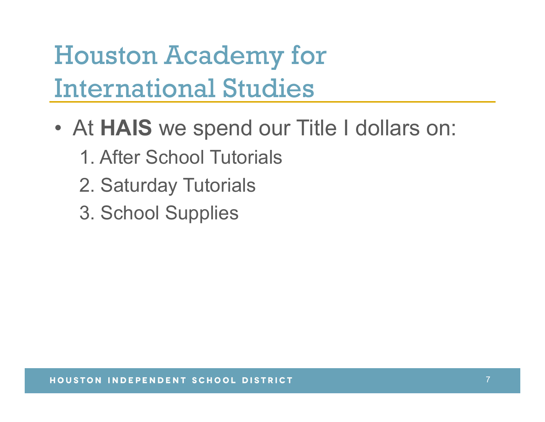Houston Academy for International Studies **Houston Academy for<br>International Studies<br>• At HAIS we spend our Title I dollars on:<br>1. After School Tutorials** 

- - 1. After School Tutorials
	- 2. Saturday Tutorials
	- 3. School Supplies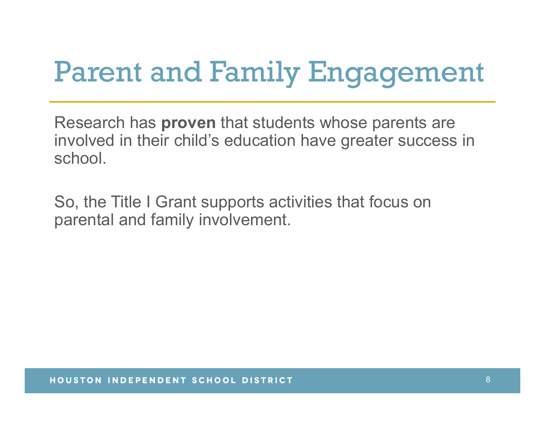## Parent and Family Engagement

Research has proven that students whose parents are involved in their child's education have greater success in school.

So, the Title I Grant supports activities that focus on parental and family involvement.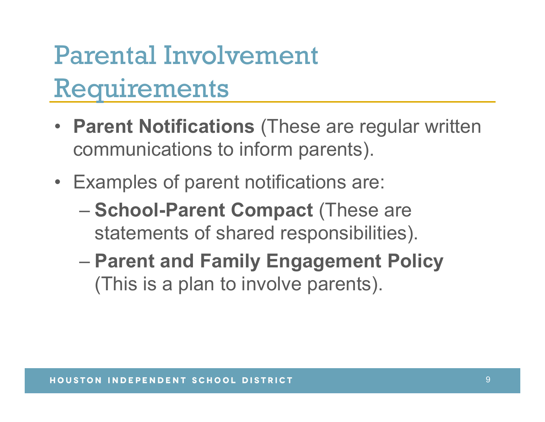#### Parental Involvement Requirements

- Parent Notifications (These are regular written communications to inform parents). **Parental Involvement<br>
Requirements<br>
• Parent Notifications (These are regular writter<br>
communications to inform parents).<br>
• Examples of parent notifications are:<br>
– School-Parent Compact (These are<br>
– statements of share**
- - statements of shared responsibilities).
	- Parent and Family Engagement Policy (This is a plan to involve parents).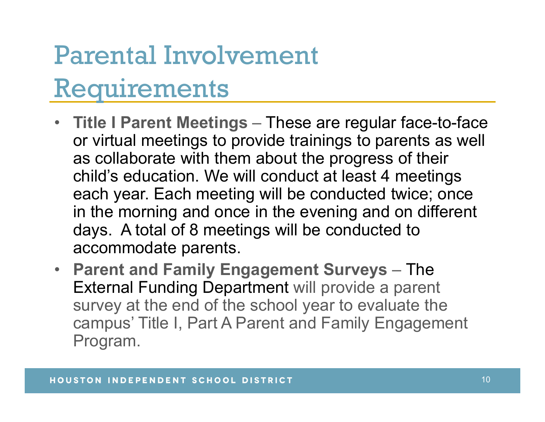#### Parental Involvement Requirements

- Title I Parent Meetings These are regular face-to-face or virtual meetings to provide trainings to parents as well as collaborate with them about the progress of their child's education. We will conduct at least 4 meetings each year. Each meeting will be conducted twice; once in the morning and once in the evening and on different days. A total of 8 meetings will be conducted to accommodate parents.
- Parent and Family Engagement Surveys The External Funding Department will provide a parent survey at the end of the school year to evaluate the campus' Title I, Part A Parent and Family Engagement Program.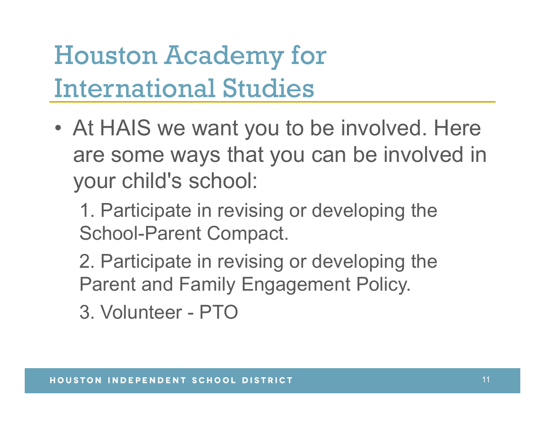#### Houston Academy for International Studies

**Houston Academy for<br>
International Studies<br>
• At HAIS we want you to be involved. Here<br>
are some ways that you can be involved in<br>
your shildle ashaal:** are some ways that you can be involved in your child's school: The same ways that you can be invo<br>
your child's school:<br>
1. Participate in revising or developing th<br>
School-Parent Compact.<br>
2. Participate in revising or developing th<br>
Parent and Family Engagement Policy.<br>
3. Volunteer

1. Participate in revising or developing the School-Parent Compact.

2. Participate in revising or developing the Parent and Family Engagement Policy.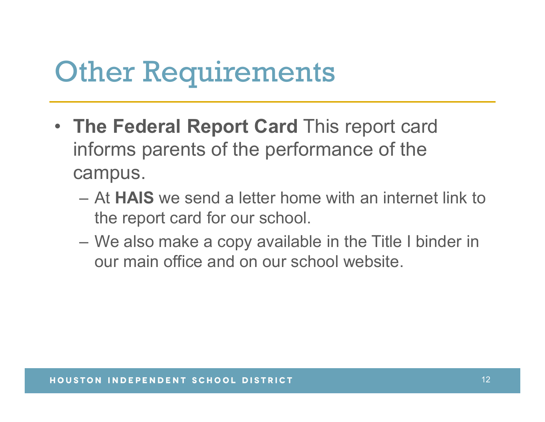#### **Other Requirements**

- The Federal Report Card This report card informs parents of the performance of the campus. **(head of the Federal Report Card This report card mforms parents of the performance of the campus.**<br>
- At HAIS we send a letter home with an internet link to the report card for our school.<br>
- We also make a copy availabl The Federal Report Card This report card<br>Informs parents of the performance of the<br>campus.<br>— At HAIS we send a letter home with an internet link to<br>the report card for our school.<br>— We also make a copy available in the Tit
	- the report card for our school.
	- our main office and on our school website.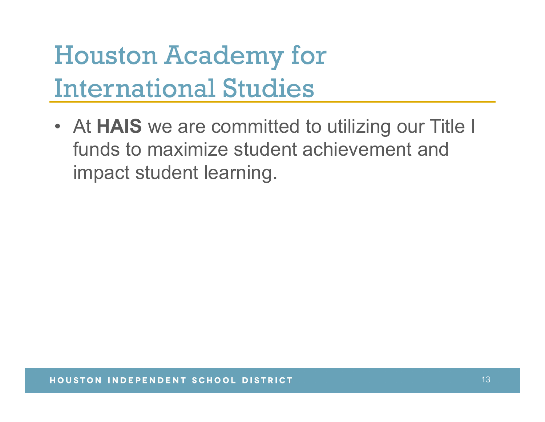#### Houston Academy for International Studies

**Houston Academy for<br>
International Studies<br>
• At HAIS we are committed to utilizing our Title I<br>
funds to maximize student achievement and<br>
impact student learning** funds to maximize student achievement and impact student learning.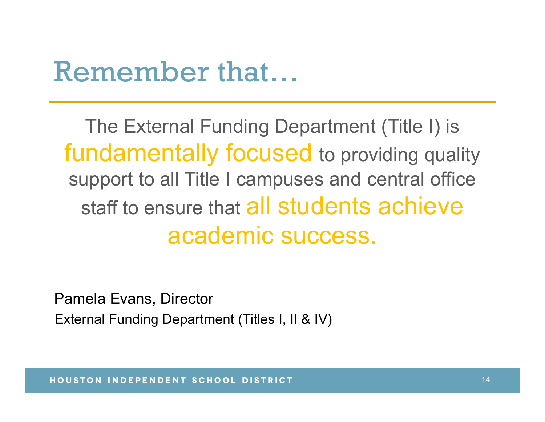#### Remember that…

The External Funding Department (Title I) is fundamentally focused to providing quality support to all Title I campuses and central office staff to ensure that all students achieve academic success.

Pamela Evans, Director External Funding Department (Titles I, II & IV)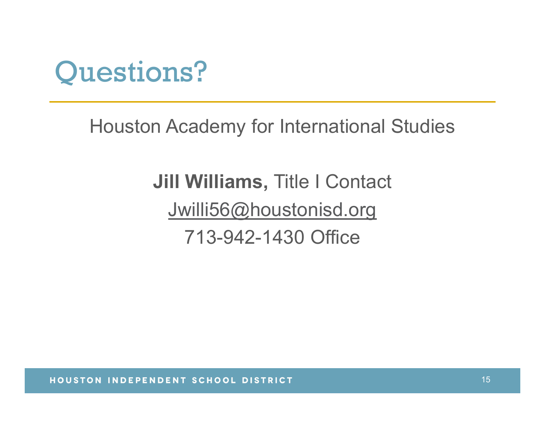

Houston Academy for International Studies

Jill Williams, Title I Contact Jwilli56@houstonisd.org 713-942-1430 Office

HOUSTON INDEPENDENT SCHOOL DISTRICT